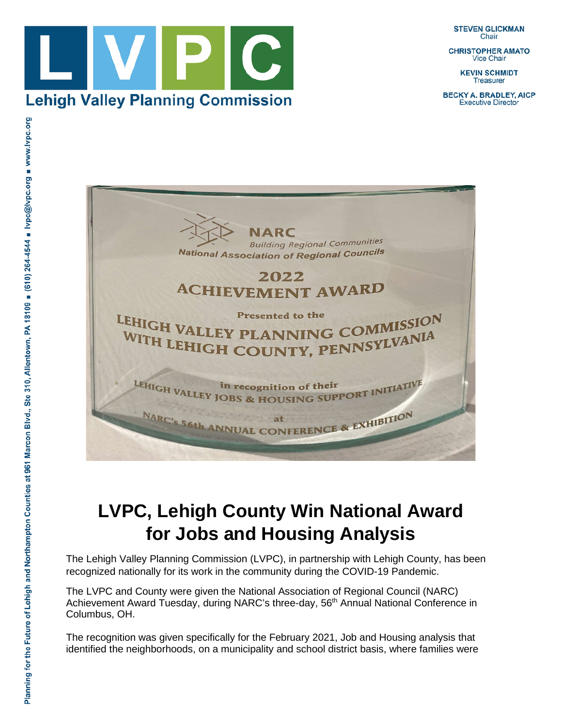**STEVEN GLICKMAN** Chair

**CHRISTOPHER AMATO Vice Chair** 

> **KEVIN SCHMIDT Treasurer**

**BECKY A. BRADLEY, AICP Executive Director** 





## **LVPC, Lehigh County Win National Award for Jobs and Housing Analysis**

The Lehigh Valley Planning Commission (LVPC), in partnership with Lehigh County, has been recognized nationally for its work in the community during the COVID-19 Pandemic.

The LVPC and County were given the National Association of Regional Council (NARC) Achievement Award Tuesday, during NARC's three-day, 56<sup>th</sup> Annual National Conference in Columbus, OH.

The recognition was given specifically for the February 2021, Job and Housing analysis that identified the neighborhoods, on a municipality and school district basis, where families were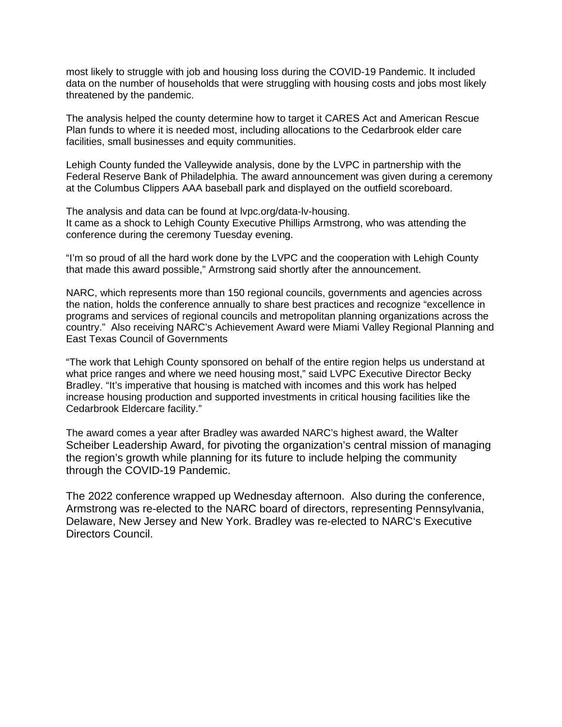most likely to struggle with job and housing loss during the COVID-19 Pandemic. It included data on the number of households that were struggling with housing costs and jobs most likely threatened by the pandemic.

The analysis helped the county determine how to target it CARES Act and American Rescue Plan funds to where it is needed most, including allocations to the Cedarbrook elder care facilities, small businesses and equity communities.

Lehigh County funded the Valleywide analysis, done by the LVPC in partnership with the Federal Reserve Bank of Philadelphia. The award announcement was given during a ceremony at the Columbus Clippers AAA baseball park and displayed on the outfield scoreboard.

The analysis and data can be found at lvpc.org/data-lv-housing. It came as a shock to Lehigh County Executive Phillips Armstrong, who was attending the conference during the ceremony Tuesday evening.

"I'm so proud of all the hard work done by the LVPC and the cooperation with Lehigh County that made this award possible," Armstrong said shortly after the announcement.

NARC, which represents more than 150 regional councils, governments and agencies across the nation, holds the conference annually to share best practices and recognize "excellence in programs and services of regional councils and metropolitan planning organizations across the country." Also receiving NARC's Achievement Award were Miami Valley Regional Planning and East Texas Council of Governments

"The work that Lehigh County sponsored on behalf of the entire region helps us understand at what price ranges and where we need housing most," said LVPC Executive Director Becky Bradley. "It's imperative that housing is matched with incomes and this work has helped increase housing production and supported investments in critical housing facilities like the Cedarbrook Eldercare facility."

The award comes a year after Bradley was awarded NARC's highest award, the Walter Scheiber Leadership Award, for pivoting the organization's central mission of managing the region's growth while planning for its future to include helping the community through the COVID-19 Pandemic.

The 2022 conference wrapped up Wednesday afternoon. Also during the conference, Armstrong was re-elected to the NARC board of directors, representing Pennsylvania, Delaware, New Jersey and New York. Bradley was re-elected to NARC's Executive Directors Council.